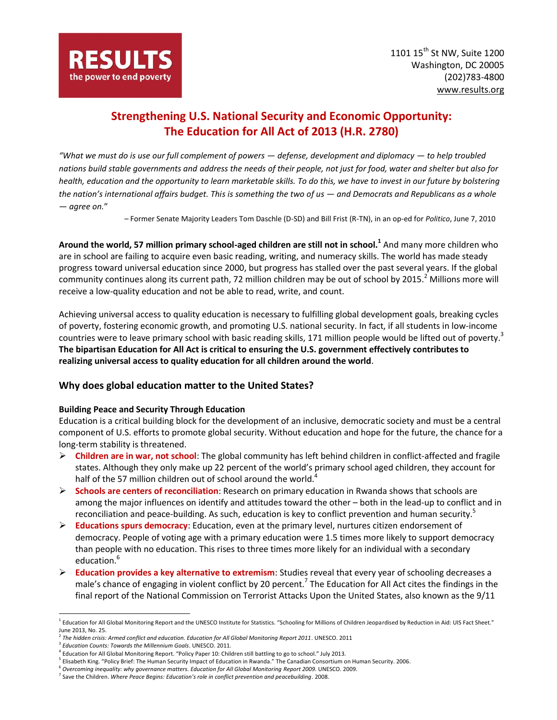# **Strengthening U.S. National Security and Economic Opportunity: The Education for All Act of 2013 (H.R. 2780)**

*"What we must do is use our full complement of powers — defense, development and diplomacy — to help troubled nations build stable governments and address the needs of their people, not just for food, water and shelter but also for health, education and the opportunity to learn marketable skills. To do this, we have to invest in our future by bolstering the nation's international affairs budget. This is something the two of us — and Democrats and Republicans as a whole — agree on.*"

*–* Former Senate Majority Leaders Tom Daschle (D-SD) and Bill Frist (R-TN), in a[n op-ed](http://www.politico.com/news/stories/0610/38173.html) for *Politico*, June 7, 2010

**Around the world, 57 million primary school-aged children are still not in school.<sup>1</sup>** And many more children who are in school are failing to acquire even basic reading, writing, and numeracy skills. The world has made steady progress toward universal education since 2000, but progress has stalled over the past several years. If the global community continues along its current path, 72 million children may be out of school by 2015.<sup>2</sup> Millions more will receive a low-quality education and not be able to read, write, and count.

Achieving universal access to quality education is necessary to fulfilling global development goals, breaking cycles of poverty, fostering economic growth, and promoting U.S. national security. In fact, if all students in low-income countries were to leave primary school with basic reading skills, 171 million people would be lifted out of poverty.<sup>3</sup> **The bipartisan Education for All Act is critical to ensuring the U.S. government effectively contributes to realizing universal access to quality education for all children around the world**.

## **Why does global education matter to the United States?**

### **Building Peace and Security Through Education**

Education is a critical building block for the development of an inclusive, democratic society and must be a central component of U.S. efforts to promote global security. Without education and hope for the future, the chance for a long-term stability is threatened.

- **Children are in war, not school**: The global community has left behind children in conflict-affected and fragile states. Although they only make up 22 percent of the world's primary school aged children, they account for half of the 57 million children out of school around the world. $4$
- **Schools are centers of reconciliation**: Research on primary education in Rwanda shows that schools are among the major influences on identify and attitudes toward the other – both in the lead-up to conflict and in reconciliation and peace-building. As such, education is key to conflict prevention and human security.<sup>5</sup>
- **Educations spurs democracy**: Education, even at the primary level, nurtures citizen endorsement of democracy. People of voting age with a primary education were 1.5 times more likely to support democracy than people with no education. This rises to three times more likely for an individual with a secondary education.<sup>6</sup>
- **Education provides a key alternative to extremism**: Studies reveal that every year of schooling decreases a male's chance of engaging in violent conflict by 20 percent.<sup>7</sup> The Education for All Act cites the findings in the final report of the National Commission on Terrorist Attacks Upon the United States, also known as the 9/11

 $\overline{a}$ 

<sup>&</sup>lt;sup>1</sup> Education for All Global Monitoring Report and the UNESCO Institute for Statistics. "Schooling for Millions of Children Jeopardised by Reduction in Aid: UIS Fact Sheet." June 2013, No. 25.<br><sup>2</sup> The hidden srisis:

*The hidden crisis: Armed conflict and education. Education for All Global Monitoring Report 2011*. UNESCO. 2011

<sup>3</sup> *Education Counts: Towards the Millennium Goals*. UNESCO. 2011.

<sup>4</sup> Education for All Global Monitoring Report. "Policy Paper 10: Children still battling to go to school." July 2013.

<sup>&</sup>lt;sup>5</sup> Elisabeth King. "Policy Brief: The Human Security Impact of Education in Rwanda." The Canadian Consortium on Human Security. 2006.

<sup>6</sup> *Overcoming inequality: why governance matters. Education for All Global Monitoring Report 2009.* UNESCO. 2009.

<sup>7</sup> Save the Children. *Where Peace Begins: Education's role in conflict prevention and peacebuilding*. 2008.